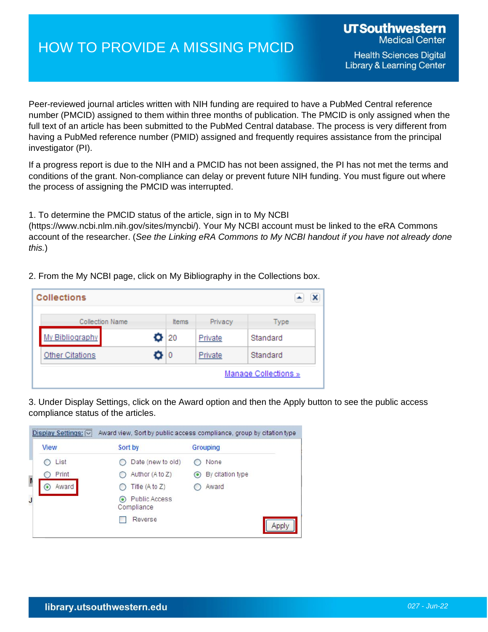## HOW TO PROVIDE A MISSING PMCID

Peer-reviewed journal articles written with NIH funding are required to have a PubMed Central reference number (PMCID) assigned to them within three months of publication. The PMCID is only assigned when the full text of an article has been submitted to the PubMed Central database. The process is very different from having a PubMed reference number (PMID) assigned and frequently requires assistance from the principal investigator (PI).

If a progress report is due to the NIH and a PMCID has not been assigned, the PI has not met the terms and conditions of the grant. Non-compliance can delay or prevent future NIH funding. You must figure out where the process of assigning the PMCID was interrupted.

1. To determine the PMCID status of the article, sign in to My NCBI

(https://www.ncbi.nlm.nih.gov/sites/myncbi/). Your My NCBI account must be linked to the eRA Commons account of the researcher. (*See the Linking eRA Commons to My NCBI handout if you have not already done this.*)

2. From the My NCBI page, click on My Bibliography in the Collections box.

| <b>Collections</b><br>x |                 |                        |              |         |                      |  |  |  |
|-------------------------|-----------------|------------------------|--------------|---------|----------------------|--|--|--|
|                         |                 | <b>Collection Name</b> | <b>ttems</b> | Privacy | Type                 |  |  |  |
|                         | My Bibliography |                        | 20           | Private | Standard             |  |  |  |
|                         | Other Citations |                        | 10           | Private | Standard             |  |  |  |
|                         |                 |                        |              |         | Manage Collections » |  |  |  |

3. Under Display Settings, click on the Award option and then the Apply button to see the public access compliance status of the articles.

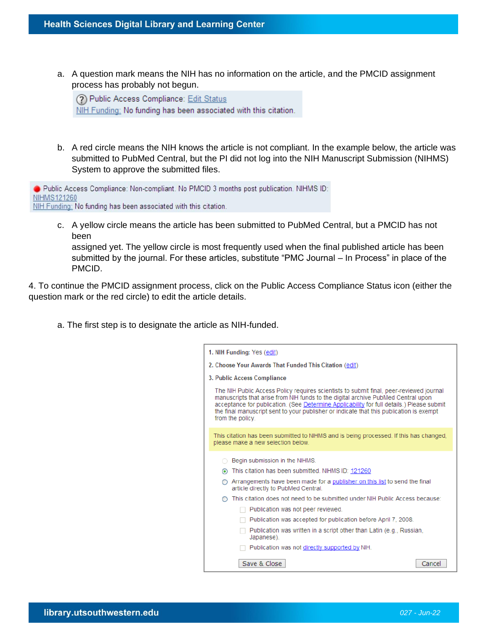a. A question mark means the NIH has no information on the article, and the PMCID assignment process has probably not begun.

? Public Access Compliance: Edit Status NIH Funding: No funding has been associated with this citation.

b. A red circle means the NIH knows the article is not compliant. In the example below, the article was submitted to PubMed Central, but the PI did not log into the NIH Manuscript Submission (NIHMS) System to approve the submitted files.

Public Access Compliance: Non-compliant. No PMCID 3 months post publication. NIHMS ID: NIHMS121260 NIH Funding: No funding has been associated with this citation.

c. A yellow circle means the article has been submitted to PubMed Central, but a PMCID has not been

assigned yet. The yellow circle is most frequently used when the final published article has been submitted by the journal. For these articles, substitute "PMC Journal – In Process" in place of the PMCID.

4. To continue the PMCID assignment process, click on the Public Access Compliance Status icon (either the question mark or the red circle) to edit the article details.

a. The first step is to designate the article as NIH-funded.

| 1. NIH Funding: Yes (edit)                                                                                                                                                                                                                                                                                                                                                              |  |
|-----------------------------------------------------------------------------------------------------------------------------------------------------------------------------------------------------------------------------------------------------------------------------------------------------------------------------------------------------------------------------------------|--|
| 2. Choose Your Awards That Funded This Citation (edit)                                                                                                                                                                                                                                                                                                                                  |  |
| 3. Public Access Compliance                                                                                                                                                                                                                                                                                                                                                             |  |
| The NIH Public Access Policy requires scientists to submit final, peer-reviewed journal<br>manuscripts that arise from NIH funds to the digital archive PubMed Central upon<br>acceptance for publication. (See Determine Applicability for full details.) Please submit<br>the final manuscript sent to your publisher or indicate that this publication is exempt<br>from the policy. |  |
| This citation has been submitted to NIHMS and is being processed. If this has changed,<br>please make a new selection below.                                                                                                                                                                                                                                                            |  |
| Begin submission in the NIHMS.                                                                                                                                                                                                                                                                                                                                                          |  |
| This citation has been submitted. NIHMS ID: 121260<br>$\odot$                                                                                                                                                                                                                                                                                                                           |  |
| Arrangements have been made for a publisher on this list to send the final<br>article directly to PubMed Central.                                                                                                                                                                                                                                                                       |  |
| This citation does not need to be submitted under NIH Public Access because:                                                                                                                                                                                                                                                                                                            |  |
| Publication was not peer reviewed.                                                                                                                                                                                                                                                                                                                                                      |  |
| Publication was accepted for publication before April 7, 2008.                                                                                                                                                                                                                                                                                                                          |  |
| Publication was written in a script other than Latin (e.g., Russian,<br>Japanese).                                                                                                                                                                                                                                                                                                      |  |
| Publication was not directly supported by NIH.                                                                                                                                                                                                                                                                                                                                          |  |
| Save & Close<br>Cancel                                                                                                                                                                                                                                                                                                                                                                  |  |